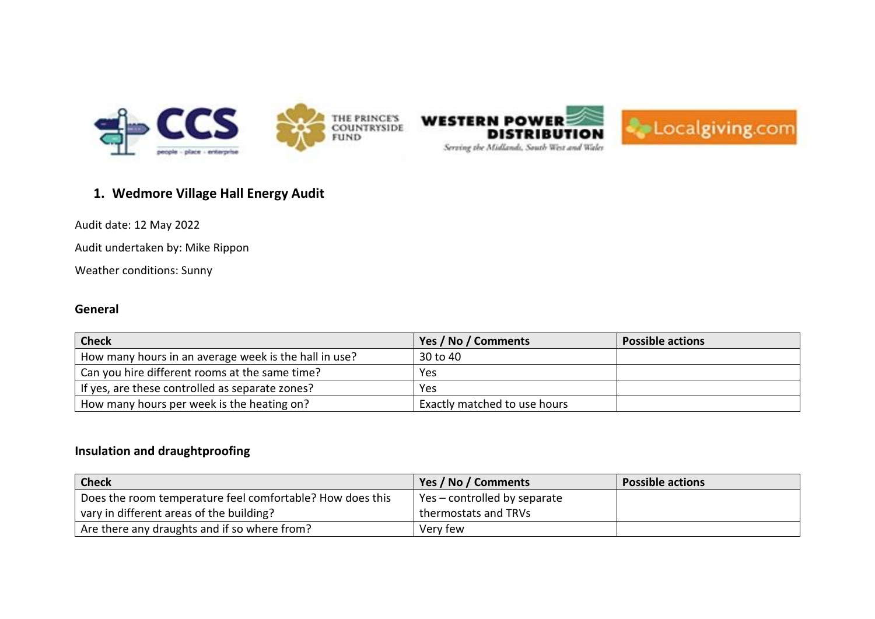



# **1. Wedmore Village Hall Energy Audit**

Audit date: 12 May 2022

Audit undertaken by: Mike Rippon

Weather conditions: Sunny

## **General**

| <b>Check</b>                                          | Yes / No / Comments          | <b>Possible actions</b> |
|-------------------------------------------------------|------------------------------|-------------------------|
| How many hours in an average week is the hall in use? | 30 to 40                     |                         |
| Can you hire different rooms at the same time?        | Yes.                         |                         |
| If yes, are these controlled as separate zones?       | <b>Yes</b>                   |                         |
| How many hours per week is the heating on?            | Exactly matched to use hours |                         |

# **Insulation and draughtproofing**

| <b>Check</b>                                              | Yes / No / Comments          | <b>Possible actions</b> |
|-----------------------------------------------------------|------------------------------|-------------------------|
| Does the room temperature feel comfortable? How does this | Yes – controlled by separate |                         |
| vary in different areas of the building?                  | thermostats and TRVs         |                         |
| Are there any draughts and if so where from?              | Very few                     |                         |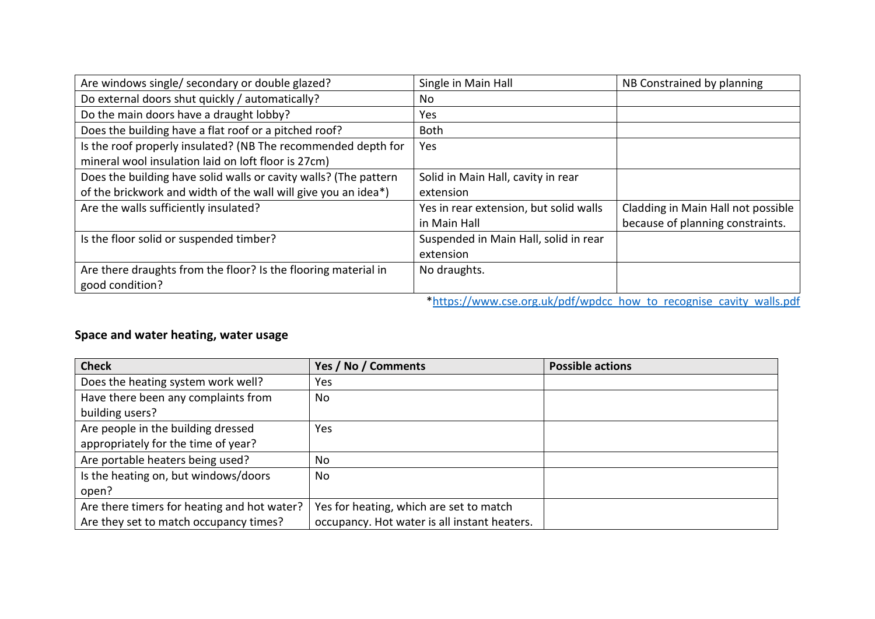| Are windows single/ secondary or double glazed?                  | Single in Main Hall                                                                           | NB Constrained by planning         |
|------------------------------------------------------------------|-----------------------------------------------------------------------------------------------|------------------------------------|
| Do external doors shut quickly / automatically?                  | No.                                                                                           |                                    |
| Do the main doors have a draught lobby?                          | Yes                                                                                           |                                    |
| Does the building have a flat roof or a pitched roof?            | <b>Both</b>                                                                                   |                                    |
| Is the roof properly insulated? (NB The recommended depth for    | Yes                                                                                           |                                    |
| mineral wool insulation laid on loft floor is 27cm)              |                                                                                               |                                    |
| Does the building have solid walls or cavity walls? (The pattern | Solid in Main Hall, cavity in rear                                                            |                                    |
| of the brickwork and width of the wall will give you an idea*)   | extension                                                                                     |                                    |
| Are the walls sufficiently insulated?                            | Yes in rear extension, but solid walls                                                        | Cladding in Main Hall not possible |
|                                                                  | in Main Hall                                                                                  | because of planning constraints.   |
| Is the floor solid or suspended timber?                          | Suspended in Main Hall, solid in rear                                                         |                                    |
|                                                                  | extension                                                                                     |                                    |
| Are there draughts from the floor? Is the flooring material in   | No draughts.                                                                                  |                                    |
| good condition?                                                  |                                                                                               |                                    |
|                                                                  | فالمعر والمربر البيئان ومراويه ومواصف ومستحق والمواط ومالح والموارات ومواصور بالمستلط ومطلولا |                                    |

#### [\\*https://www.cse.org.uk/pdf/wpdcc\\_how\\_to\\_recognise\\_cavity\\_walls.pdf](https://www.cse.org.uk/pdf/wpdcc_how_to_recognise_cavity_walls.pdf)

# **Space and water heating, water usage**

| <b>Check</b>                                | Yes / No / Comments                          | <b>Possible actions</b> |
|---------------------------------------------|----------------------------------------------|-------------------------|
| Does the heating system work well?          | Yes                                          |                         |
| Have there been any complaints from         | No                                           |                         |
| building users?                             |                                              |                         |
| Are people in the building dressed          | Yes                                          |                         |
| appropriately for the time of year?         |                                              |                         |
| Are portable heaters being used?            | No                                           |                         |
| Is the heating on, but windows/doors        | No                                           |                         |
| open?                                       |                                              |                         |
| Are there timers for heating and hot water? | Yes for heating, which are set to match      |                         |
| Are they set to match occupancy times?      | occupancy. Hot water is all instant heaters. |                         |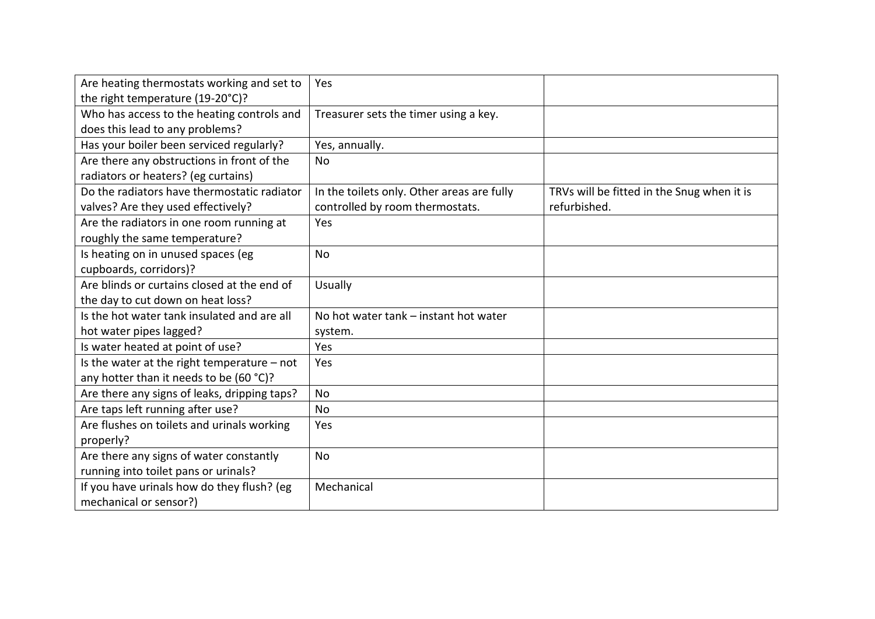| Are heating thermostats working and set to    | Yes                                        |                                            |
|-----------------------------------------------|--------------------------------------------|--------------------------------------------|
| the right temperature (19-20°C)?              |                                            |                                            |
| Who has access to the heating controls and    | Treasurer sets the timer using a key.      |                                            |
| does this lead to any problems?               |                                            |                                            |
| Has your boiler been serviced regularly?      | Yes, annually.                             |                                            |
| Are there any obstructions in front of the    | No                                         |                                            |
| radiators or heaters? (eg curtains)           |                                            |                                            |
| Do the radiators have thermostatic radiator   | In the toilets only. Other areas are fully | TRVs will be fitted in the Snug when it is |
| valves? Are they used effectively?            | controlled by room thermostats.            | refurbished.                               |
| Are the radiators in one room running at      | Yes                                        |                                            |
| roughly the same temperature?                 |                                            |                                            |
| Is heating on in unused spaces (eg            | <b>No</b>                                  |                                            |
| cupboards, corridors)?                        |                                            |                                            |
| Are blinds or curtains closed at the end of   | Usually                                    |                                            |
| the day to cut down on heat loss?             |                                            |                                            |
| Is the hot water tank insulated and are all   | No hot water tank - instant hot water      |                                            |
| hot water pipes lagged?                       | system.                                    |                                            |
| Is water heated at point of use?              | Yes                                        |                                            |
| Is the water at the right temperature $-$ not | Yes                                        |                                            |
| any hotter than it needs to be (60 °C)?       |                                            |                                            |
| Are there any signs of leaks, dripping taps?  | <b>No</b>                                  |                                            |
| Are taps left running after use?              | No                                         |                                            |
| Are flushes on toilets and urinals working    | Yes                                        |                                            |
| properly?                                     |                                            |                                            |
| Are there any signs of water constantly       | <b>No</b>                                  |                                            |
| running into toilet pans or urinals?          |                                            |                                            |
| If you have urinals how do they flush? (eg    | Mechanical                                 |                                            |
| mechanical or sensor?)                        |                                            |                                            |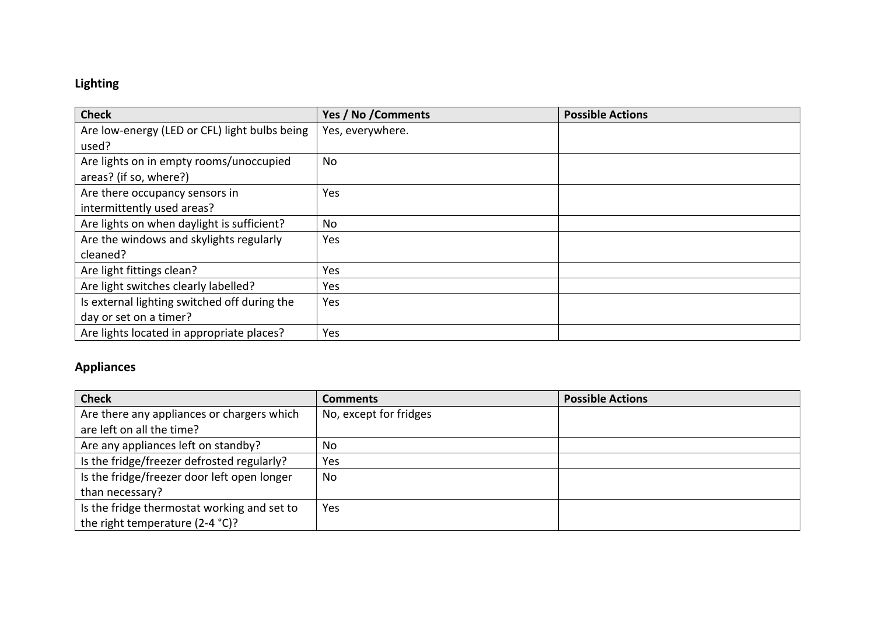# **Lighting**

| <b>Check</b>                                  | Yes / No / Comments | <b>Possible Actions</b> |
|-----------------------------------------------|---------------------|-------------------------|
| Are low-energy (LED or CFL) light bulbs being | Yes, everywhere.    |                         |
| used?                                         |                     |                         |
| Are lights on in empty rooms/unoccupied       | No                  |                         |
| areas? (if so, where?)                        |                     |                         |
| Are there occupancy sensors in                | Yes                 |                         |
| intermittently used areas?                    |                     |                         |
| Are lights on when daylight is sufficient?    | No                  |                         |
| Are the windows and skylights regularly       | Yes                 |                         |
| cleaned?                                      |                     |                         |
| Are light fittings clean?                     | Yes                 |                         |
| Are light switches clearly labelled?          | Yes                 |                         |
| Is external lighting switched off during the  | Yes                 |                         |
| day or set on a timer?                        |                     |                         |
| Are lights located in appropriate places?     | Yes                 |                         |

# **Appliances**

| <b>Check</b>                                | <b>Comments</b>        | <b>Possible Actions</b> |
|---------------------------------------------|------------------------|-------------------------|
| Are there any appliances or chargers which  | No, except for fridges |                         |
| are left on all the time?                   |                        |                         |
| Are any appliances left on standby?         | No                     |                         |
| Is the fridge/freezer defrosted regularly?  | Yes                    |                         |
| Is the fridge/freezer door left open longer | No                     |                         |
| than necessary?                             |                        |                         |
| Is the fridge thermostat working and set to | Yes                    |                         |
| the right temperature (2-4 °C)?             |                        |                         |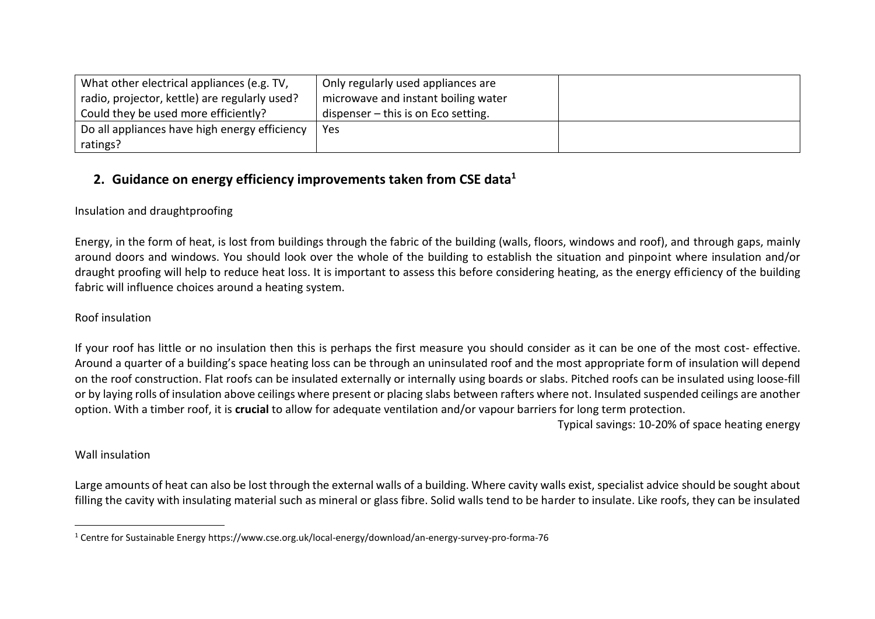| What other electrical appliances (e.g. TV,    | Only regularly used appliances are    |  |
|-----------------------------------------------|---------------------------------------|--|
| radio, projector, kettle) are regularly used? | microwave and instant boiling water   |  |
| Could they be used more efficiently?          | dispenser $-$ this is on Eco setting. |  |
| Do all appliances have high energy efficiency | Yes                                   |  |
| ratings?                                      |                                       |  |

# **2. Guidance on energy efficiency improvements taken from CSE data<sup>1</sup>**

# Insulation and draughtproofing

Energy, in the form of heat, is lost from buildings through the fabric of the building (walls, floors, windows and roof), and through gaps, mainly around doors and windows. You should look over the whole of the building to establish the situation and pinpoint where insulation and/or draught proofing will help to reduce heat loss. It is important to assess this before considering heating, as the energy efficiency of the building fabric will influence choices around a heating system.

## Roof insulation

If your roof has little or no insulation then this is perhaps the first measure you should consider as it can be one of the most cost- effective. Around a quarter of a building's space heating loss can be through an uninsulated roof and the most appropriate form of insulation will depend on the roof construction. Flat roofs can be insulated externally or internally using boards or slabs. Pitched roofs can be insulated using loose-fill or by laying rolls of insulation above ceilings where present or placing slabs between rafters where not. Insulated suspended ceilings are another option. With a timber roof, it is **crucial** to allow for adequate ventilation and/or vapour barriers for long term protection.

Typical savings: 10-20% of space heating energy

## Wall insulation

Large amounts of heat can also be lost through the external walls of a building. Where cavity walls exist, specialist advice should be sought about filling the cavity with insulating material such as mineral or glass fibre. Solid walls tend to be harder to insulate. Like roofs, they can be insulated

<sup>1</sup> Centre for Sustainable Energy https://www.cse.org.uk/local-energy/download/an-energy-survey-pro-forma-76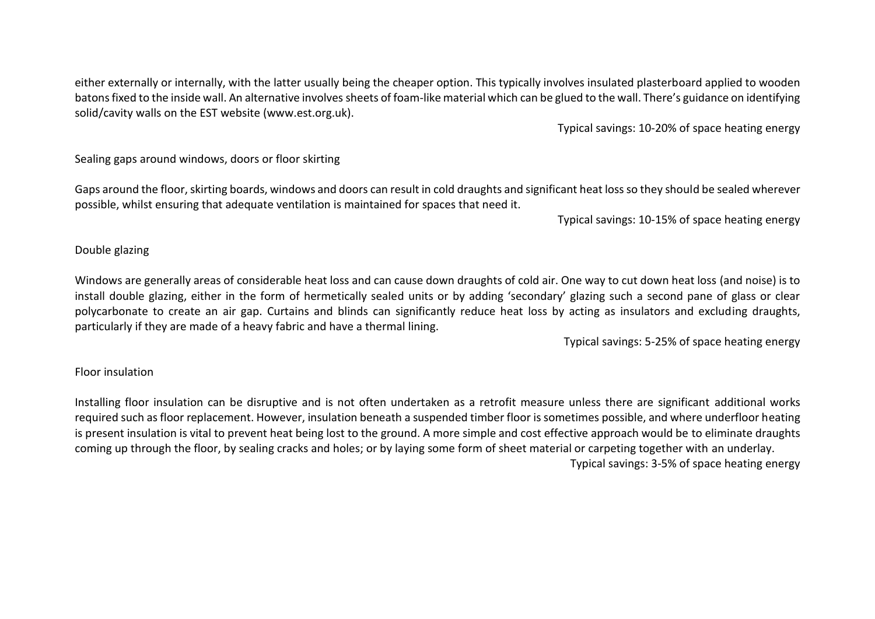either externally or internally, with the latter usually being the cheaper option. This typically involves insulated plasterboard applied to wooden batons fixed to the inside wall. An alternative involves sheets of foam-like material which can be glued to the wall. There's guidance on identifying solid/cavity walls on the EST website (www.est.org.uk).

Typical savings: 10-20% of space heating energy

Sealing gaps around windows, doors or floor skirting

Gaps around the floor, skirting boards, windows and doors can result in cold draughts and significant heat loss so they should be sealed wherever possible, whilst ensuring that adequate ventilation is maintained for spaces that need it.

Typical savings: 10-15% of space heating energy

### Double glazing

Windows are generally areas of considerable heat loss and can cause down draughts of cold air. One way to cut down heat loss (and noise) is to install double glazing, either in the form of hermetically sealed units or by adding 'secondary' glazing such a second pane of glass or clear polycarbonate to create an air gap. Curtains and blinds can significantly reduce heat loss by acting as insulators and excluding draughts, particularly if they are made of a heavy fabric and have a thermal lining.

Typical savings: 5-25% of space heating energy

### Floor insulation

Installing floor insulation can be disruptive and is not often undertaken as a retrofit measure unless there are significant additional works required such as floor replacement. However, insulation beneath a suspended timber floor is sometimes possible, and where underfloor heating is present insulation is vital to prevent heat being lost to the ground. A more simple and cost effective approach would be to eliminate draughts coming up through the floor, by sealing cracks and holes; or by laying some form of sheet material or carpeting together with an underlay. Typical savings: 3-5% of space heating energy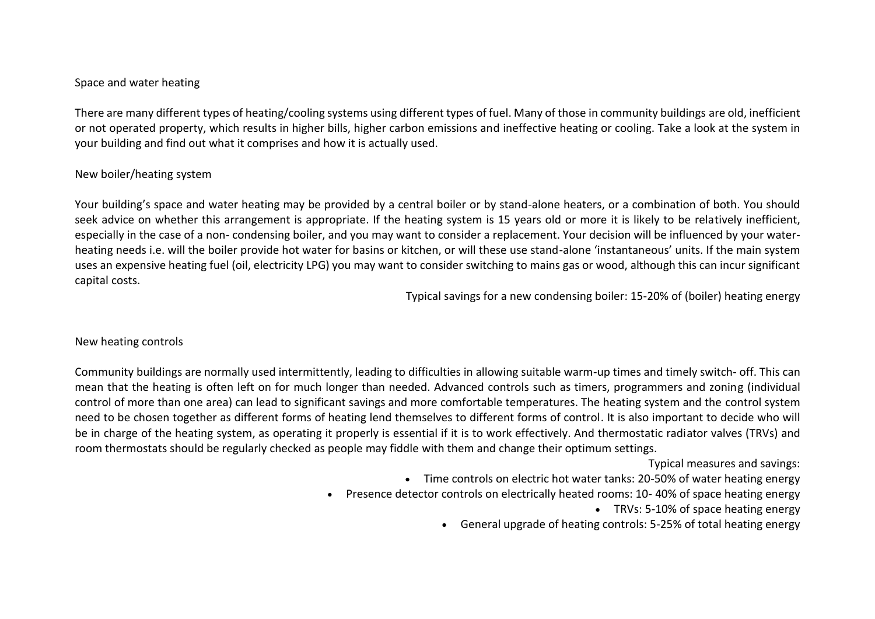## Space and water heating

There are many different types of heating/cooling systems using different types of fuel. Many of those in community buildings are old, inefficient or not operated property, which results in higher bills, higher carbon emissions and ineffective heating or cooling. Take a look at the system in your building and find out what it comprises and how it is actually used.

#### New boiler/heating system

Your building's space and water heating may be provided by a central boiler or by stand-alone heaters, or a combination of both. You should seek advice on whether this arrangement is appropriate. If the heating system is 15 years old or more it is likely to be relatively inefficient, especially in the case of a non- condensing boiler, and you may want to consider a replacement. Your decision will be influenced by your waterheating needs i.e. will the boiler provide hot water for basins or kitchen, or will these use stand-alone 'instantaneous' units. If the main system uses an expensive heating fuel (oil, electricity LPG) you may want to consider switching to mains gas or wood, although this can incur significant capital costs.

Typical savings for a new condensing boiler: 15-20% of (boiler) heating energy

#### New heating controls

Community buildings are normally used intermittently, leading to difficulties in allowing suitable warm-up times and timely switch- off. This can mean that the heating is often left on for much longer than needed. Advanced controls such as timers, programmers and zoning (individual control of more than one area) can lead to significant savings and more comfortable temperatures. The heating system and the control system need to be chosen together as different forms of heating lend themselves to different forms of control. It is also important to decide who will be in charge of the heating system, as operating it properly is essential if it is to work effectively. And thermostatic radiator valves (TRVs) and room thermostats should be regularly checked as people may fiddle with them and change their optimum settings.

Typical measures and savings:

- Time controls on electric hot water tanks: 20-50% of water heating energy
- Presence detector controls on electrically heated rooms: 10- 40% of space heating energy
	- TRVs: 5-10% of space heating energy
	- General upgrade of heating controls: 5-25% of total heating energy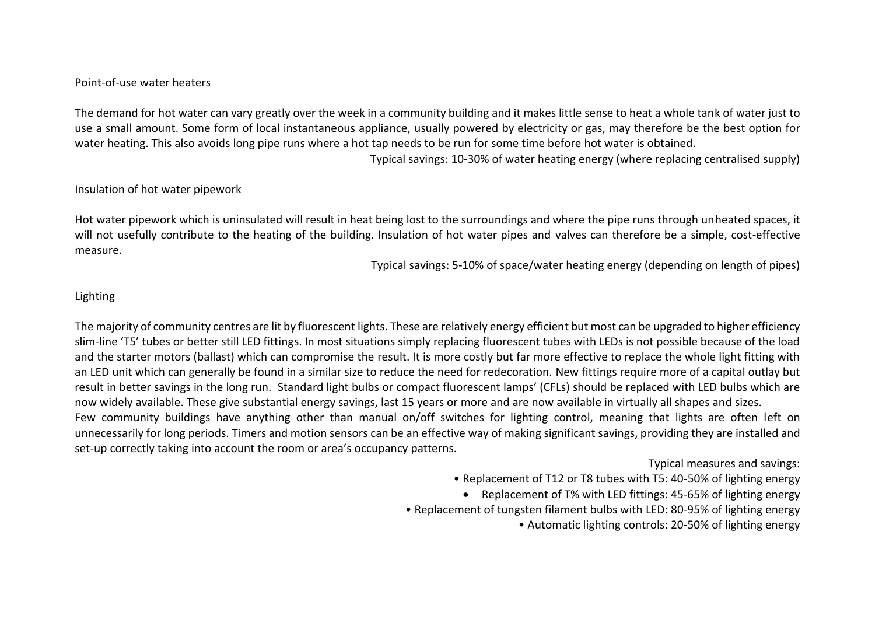#### Point-of-use water heaters

The demand for hot water can vary greatly over the week in a community building and it makes little sense to heat a whole tank of water just to use a small amount. Some form of local instantaneous appliance, usually powered by electricity or gas, may therefore be the best option for water heating. This also avoids long pipe runs where a hot tap needs to be run for some time before hot water is obtained.

Typical savings: 10-30% of water heating energy (where replacing centralised supply)

#### Insulation of hot water pipework

Hot water pipework which is uninsulated will result in heat being lost to the surroundings and where the pipe runs through unheated spaces, it will not usefully contribute to the heating of the building. Insulation of hot water pipes and valves can therefore be a simple, cost-effective measure.

Typical savings: 5-10% of space/water heating energy (depending on length of pipes)

#### Lighting

The majority of community centres are lit by fluorescent lights. These are relatively energy efficient but most can be upgraded to higher efficiency slim-line 'T5' tubes or better still LED fittings. In most situations simply replacing fluorescent tubes with LEDs is not possible because of the load and the starter motors (ballast) which can compromise the result. It is more costly but far more effective to replace the whole light fitting with an LED unit which can generally be found in a similar size to reduce the need for redecoration. New fittings require more of a capital outlay but result in better savings in the long run. Standard light bulbs or compact fluorescent lamps' (CFLs) should be replaced with LED bulbs which are now widely available. These give substantial energy savings, last 15 years or more and are now available in virtually all shapes and sizes. Few community buildings have anything other than manual on/off switches for lighting control, meaning that lights are often left on unnecessarily for long periods. Timers and motion sensors can be an effective way of making significant savings, providing they are installed and set-up correctly taking into account the room or area's occupancy patterns.

Typical measures and savings:

• Replacement of T12 or T8 tubes with T5: 40-50% of lighting energy

• Replacement of T% with LED fittings: 45-65% of lighting energy

• Replacement of tungsten filament bulbs with LED: 80-95% of lighting energy

• Automatic lighting controls: 20-50% of lighting energy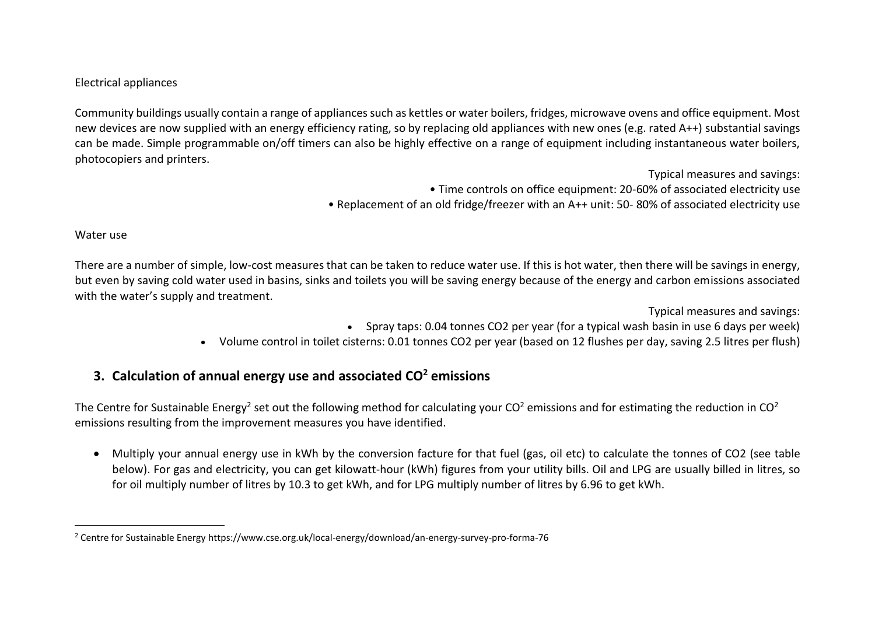## Electrical appliances

Community buildings usually contain a range of appliances such as kettles or water boilers, fridges, microwave ovens and office equipment. Most new devices are now supplied with an energy efficiency rating, so by replacing old appliances with new ones (e.g. rated A++) substantial savings can be made. Simple programmable on/off timers can also be highly effective on a range of equipment including instantaneous water boilers, photocopiers and printers.

> Typical measures and savings: • Time controls on office equipment: 20-60% of associated electricity use • Replacement of an old fridge/freezer with an A++ unit: 50- 80% of associated electricity use

#### Water use

There are a number of simple, low-cost measures that can be taken to reduce water use. If this is hot water, then there will be savings in energy, but even by saving cold water used in basins, sinks and toilets you will be saving energy because of the energy and carbon emissions associated with the water's supply and treatment.

> Typical measures and savings: • Spray taps: 0.04 tonnes CO2 per year (for a typical wash basin in use 6 days per week)

• Volume control in toilet cisterns: 0.01 tonnes CO2 per year (based on 12 flushes per day, saving 2.5 litres per flush)

# **3. Calculation of annual energy use and associated CO<sup>2</sup> emissions**

The Centre for Sustainable Energy<sup>2</sup> set out the following method for calculating your CO<sup>2</sup> emissions and for estimating the reduction in CO<sup>2</sup> emissions resulting from the improvement measures you have identified.

• Multiply your annual energy use in kWh by the conversion facture for that fuel (gas, oil etc) to calculate the tonnes of CO2 (see table below). For gas and electricity, you can get kilowatt-hour (kWh) figures from your utility bills. Oil and LPG are usually billed in litres, so for oil multiply number of litres by 10.3 to get kWh, and for LPG multiply number of litres by 6.96 to get kWh.

<sup>2</sup> Centre for Sustainable Energy https://www.cse.org.uk/local-energy/download/an-energy-survey-pro-forma-76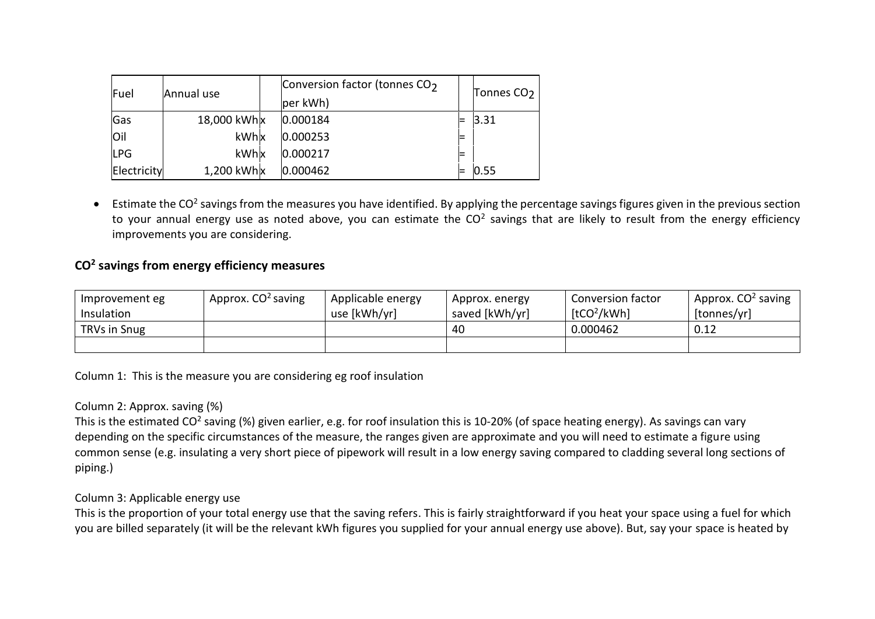| Fuel        | Annual use      | Conversion factor (tonnes CO <sub>2</sub><br>per kWh) | Tonnes CO <sub>2</sub> |
|-------------|-----------------|-------------------------------------------------------|------------------------|
| Gas         | 18,000 kWh x    | 0.000184                                              | 3.31                   |
| loil        | kWhx            | 0.000253                                              |                        |
| <b>LPG</b>  | kWhx            | 0.000217                                              |                        |
| Electricity | $1,200$ kWh $x$ | $ 0.000462\rangle$                                    | 0.55                   |

 $\bullet$  Estimate the CO<sup>2</sup> savings from the measures you have identified. By applying the percentage savings figures given in the previous section to your annual energy use as noted above, you can estimate the CO<sup>2</sup> savings that are likely to result from the energy efficiency improvements you are considering.

# **CO<sup>2</sup> savings from energy efficiency measures**

| Improvement eg<br>Insulation | Approx. CO <sup>2</sup> saving | Applicable energy<br>use [kWh/yr] | Approx. energy<br>saved [kWh/yr] | <b>Conversion factor</b><br>[tCO <sup>2</sup> /kWh] | Approx. CO <sup>2</sup> saving<br> tonnes/yr |
|------------------------------|--------------------------------|-----------------------------------|----------------------------------|-----------------------------------------------------|----------------------------------------------|
| <b>TRVs in Snug</b>          |                                |                                   | 40                               | 0.000462                                            | 0.12                                         |
|                              |                                |                                   |                                  |                                                     |                                              |

Column 1: This is the measure you are considering eg roof insulation

## Column 2: Approx. saving (%)

This is the estimated CO<sup>2</sup> saving (%) given earlier, e.g. for roof insulation this is 10-20% (of space heating energy). As savings can vary depending on the specific circumstances of the measure, the ranges given are approximate and you will need to estimate a figure using common sense (e.g. insulating a very short piece of pipework will result in a low energy saving compared to cladding several long sections of piping.)

### Column 3: Applicable energy use

This is the proportion of your total energy use that the saving refers. This is fairly straightforward if you heat your space using a fuel for which you are billed separately (it will be the relevant kWh figures you supplied for your annual energy use above). But, say your space is heated by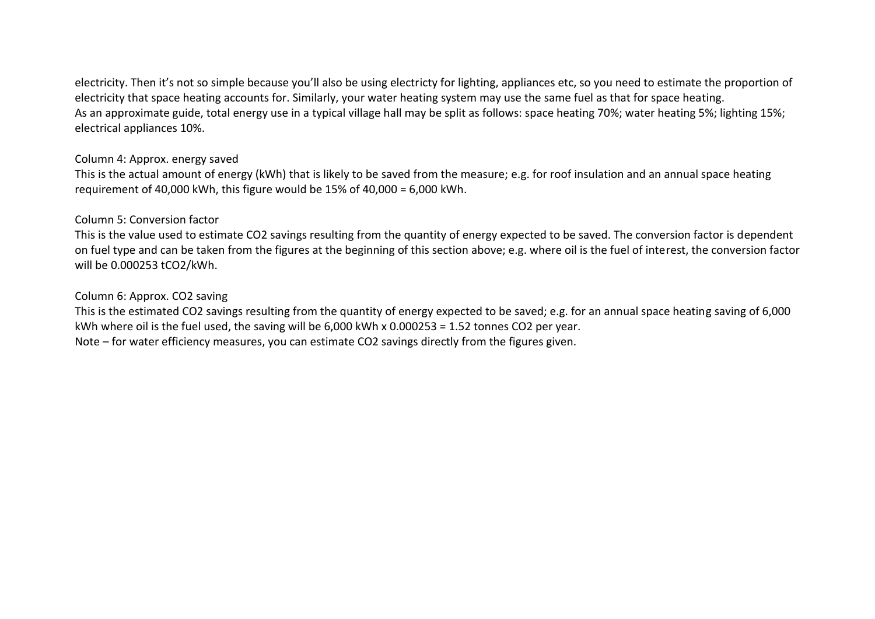electricity. Then it's not so simple because you'll also be using electricty for lighting, appliances etc, so you need to estimate the proportion of electricity that space heating accounts for. Similarly, your water heating system may use the same fuel as that for space heating. As an approximate guide, total energy use in a typical village hall may be split as follows: space heating 70%; water heating 5%; lighting 15%; electrical appliances 10%.

## Column 4: Approx. energy saved

This is the actual amount of energy (kWh) that is likely to be saved from the measure; e.g. for roof insulation and an annual space heating requirement of 40,000 kWh, this figure would be 15% of 40,000 = 6,000 kWh.

## Column 5: Conversion factor

This is the value used to estimate CO2 savings resulting from the quantity of energy expected to be saved. The conversion factor is dependent on fuel type and can be taken from the figures at the beginning of this section above; e.g. where oil is the fuel of interest, the conversion factor will be 0.000253 tCO2/kWh.

### Column 6: Approx. CO2 saving

This is the estimated CO2 savings resulting from the quantity of energy expected to be saved; e.g. for an annual space heating saving of 6,000 kWh where oil is the fuel used, the saving will be 6,000 kWh x 0.000253 = 1.52 tonnes CO2 per year. Note – for water efficiency measures, you can estimate CO2 savings directly from the figures given.